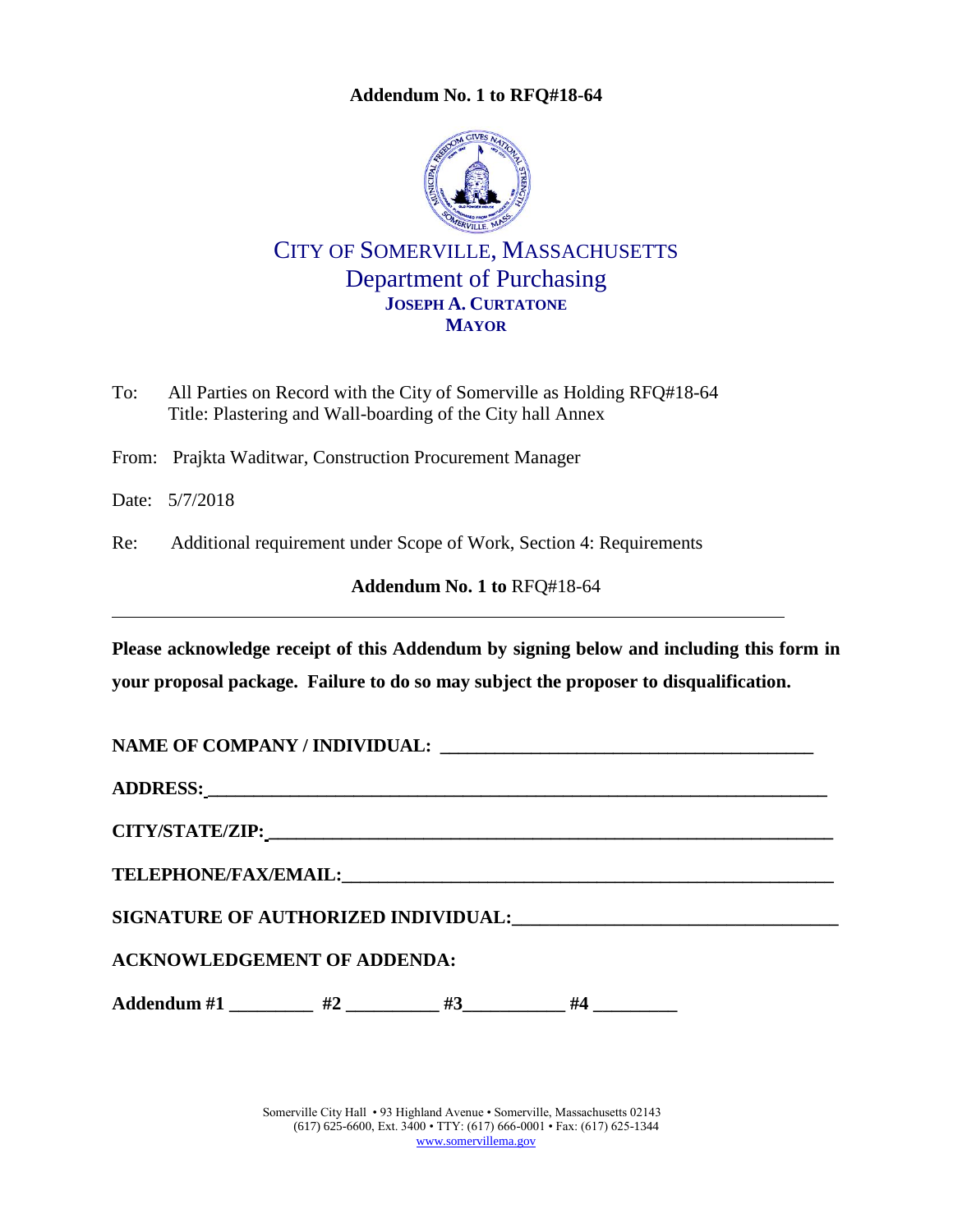**Addendum No. 1 to RFQ#18-64**

<span id="page-0-0"></span>

CITY OF SOMERVILLE, MASSACHUSETTS Department of Purchasing **JOSEPH A. CURTATONE MAYOR**

To: All Parties on Record with the City of Somerville as Holding RFQ#18-64 Title: Plastering and Wall-boarding of the City hall Annex

From: Prajkta Waditwar, Construction Procurement Manager

Date: 5/7/2018

Re: Additional requirement under Scope of Work, Section 4: Requirements

**Addendum No. 1 to** [RFQ#18-64](#page-0-0)

**Please acknowledge receipt of this Addendum by signing below and including this form in your proposal package. Failure to do so may subject the proposer to disqualification.**

NAME OF COMPANY / **INDIVIDUAL:** 

**ADDRESS: \_\_\_\_\_\_\_\_\_\_\_\_\_\_\_\_\_\_\_\_\_\_\_\_\_\_\_\_\_\_\_\_\_\_\_\_\_\_\_\_\_\_\_\_\_\_\_\_\_\_\_\_\_\_\_\_\_\_\_\_\_\_\_\_\_\_\_\_**

**CITY/STATE/ZIP: \_\_\_\_\_\_\_\_\_\_\_\_\_\_\_\_\_\_\_\_\_\_\_\_\_\_\_\_\_\_\_\_\_\_\_\_\_\_\_\_\_\_\_\_\_\_\_\_\_\_\_\_\_\_\_\_\_\_\_\_\_\_**

 $\bf{TELEPHONE/FAX/EMAIL:}$ 

**SIGNATURE OF AUTHORIZED INDIVIDUAL:\_\_\_\_\_\_\_\_\_\_\_\_\_\_\_\_\_\_\_\_\_\_\_\_\_\_\_\_\_\_\_\_\_\_\_**

**ACKNOWLEDGEMENT OF ADDENDA:**

Addendum #1 \_\_\_\_\_\_\_\_\_ #2 \_\_\_\_\_\_\_\_\_ #3 \_\_\_\_\_\_\_\_ #4 \_

Somerville City Hall • 93 Highland Avenue • Somerville, Massachusetts 02143 (617) 625-6600, Ext. 3400 • TTY: (617) 666-0001 • Fax: (617) 625-1344 [www.somervillema.gov](http://www.somervillema.gov/)